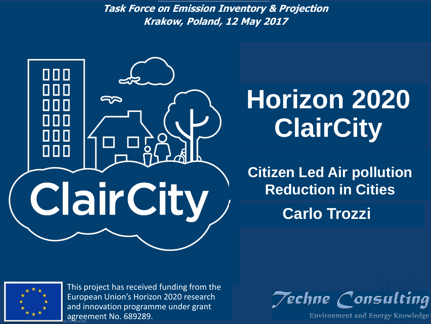**Horizon 2021 ClairCity --** *Krakow, Poland, 12 May 2017* **2017 Task Force on Emission Inventory & Projection**



# **Horizon 2020 ClairCity**

**Carlo Trozzi Citizen Led Air pollution Reduction in Cities**



**Carlo Trozzi** This project has received funding from the European Union's Horizon 2020 research and innovation programme under grant agreement No. 689289.

**Techne Consulting** 

Environment and Energy Knowledge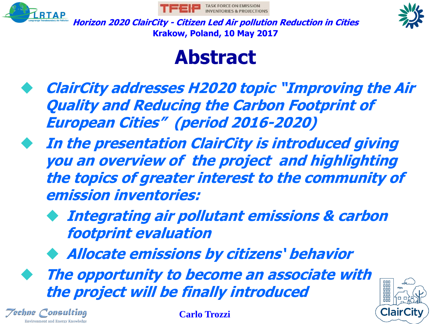





#### **Abstract**

- **ClairCity addresses H2020 topic "Improving the Air Quality and Reducing the Carbon Footprint of European Cities" (period 2016-2020)**
- **In the presentation ClairCity is introduced giving you an overview of the project and highlighting the topics of greater interest to the community of emission inventories:**
	- **Integrating air pollutant emissions & carbon footprint evaluation**
	- ◆ **Allocate emissions by citizens' behavior**
	- **The opportunity to become an associate with the project will be finally introduced**



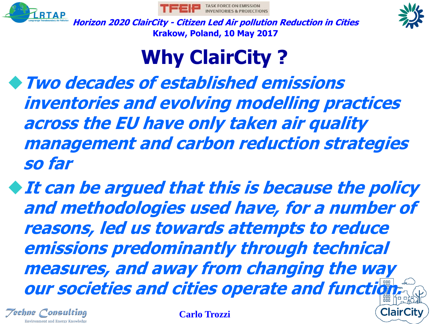





## **Why ClairCity ?**

◆**Two decades of established emissions inventories and evolving modelling practices across the EU have only taken air quality management and carbon reduction strategies so far**

◆**It can be argued that this is because the policy and methodologies used have, for a number of reasons, led us towards attempts to reduce emissions predominantly through technical measures, and away from changing the way our societies and cities operate and function** 

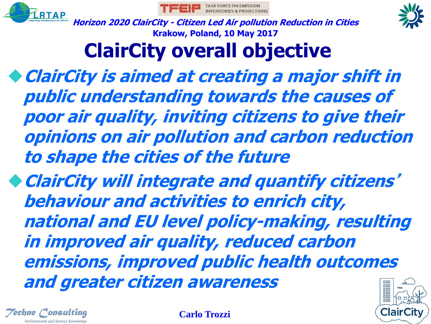





## **ClairCity overall objective**

◆**ClairCity is aimed at creating a major shift in public understanding towards the causes of poor air quality, inviting citizens to give their opinions on air pollution and carbon reduction to shape the cities of the future**

◆**ClairCity will integrate and quantify citizens**' **behaviour and activities to enrich city, national and EU level policy-making, resulting in improved air quality, reduced carbon emissions, improved public health outcomes and greater citizen awareness**



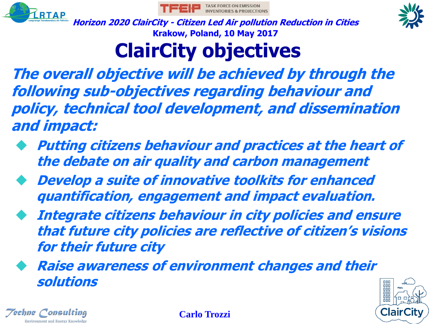





# **ClairCity objectives**

**The overall objective will be achieved by through the following sub-objectives regarding behaviour and policy, technical tool development, and dissemination and impact:**

- **Putting citizens behaviour and practices at the heart of the debate on air quality and carbon management**
- **Develop a suite of innovative toolkits for enhanced quantification, engagement and impact evaluation.**
- **Integrate citizens behaviour in city policies and ensure that future city policies are reflective of citizen's visions for their future city**
- **Raise awareness of environment changes and their solutions**



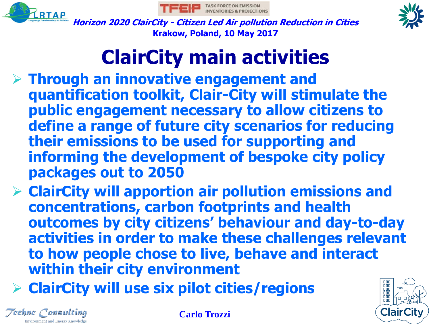





#### **ClairCity main activities**

- ➢ **Through an innovative engagement and quantification toolkit, Clair-City will stimulate the public engagement necessary to allow citizens to define a range of future city scenarios for reducing their emissions to be used for supporting and informing the development of bespoke city policy packages out to 2050**
- ➢ **ClairCity will apportion air pollution emissions and concentrations, carbon footprints and health outcomes by city citizens' behaviour and day-to-day activities in order to make these challenges relevant to how people chose to live, behave and interact within their city environment**
- ➢ **ClairCity will use six pilot cities/regions**



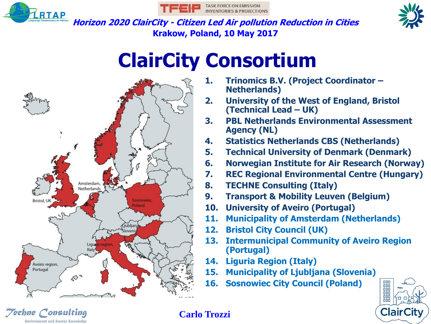

 $\gamma$ echne  $\gamma$ onsulting

Environment and Energy Knowledge





**Horizon 2020 ClairCity - Citizen Led Air pollution Reduction in Cities Krakow, Poland, 10 May 2017**

#### **ClairCity Consortium**



- **1. Trinomics B.V. (Project Coordinator – Netherlands)**
- **2. University of the West of England, Bristol (Technical Lead – UK)**
- **3. PBL Netherlands Environmental Assessment Agency (NL)**
- **4. Statistics Netherlands CBS (Netherlands)**
- **5. Technical University of Denmark (Denmark)**
- **6. Norwegian Institute for Air Research (Norway)**
- **7. REC Regional Environmental Centre (Hungary)**
- **8. TECHNE Consulting (Italy)**
- **9. Transport & Mobility Leuven (Belgium)**
- **10. University of Aveiro (Portugal)**
- **11. Municipality of Amsterdam (Netherlands)**
- **12. Bristol City Council (UK)**
- **13. Intermunicipal Community of Aveiro Region (Portugal)**
- **14. Liguria Region (Italy)**
- **15. Municipality of Ljubljana (Slovenia)**
- **16. Sosnowiec City Council (Poland)**

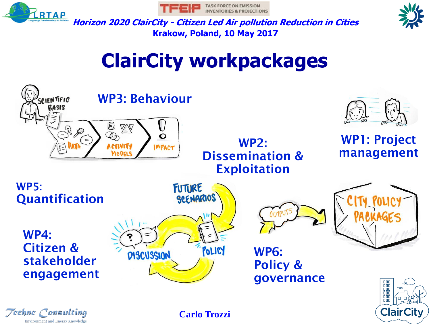





#### **ClairCity workpackages**

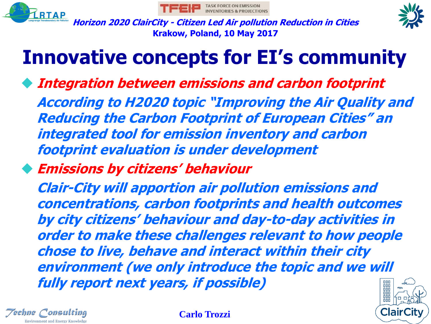





#### **Innovative concepts for EI's community**

- **Integration between emissions and carbon footprint According to H2020 topic "Improving the Air Quality and Reducing the Carbon Footprint of European Cities" an integrated tool for emission inventory and carbon footprint evaluation is under development**
- ◆ **Emissions by citizens' behaviour**

**Clair-City will apportion air pollution emissions and concentrations, carbon footprints and health outcomes by city citizens' behaviour and day-to-day activities in order to make these challenges relevant to how people chose to live, behave and interact within their city environment (we only introduce the topic and we will fully report next years, if possible)**000 000



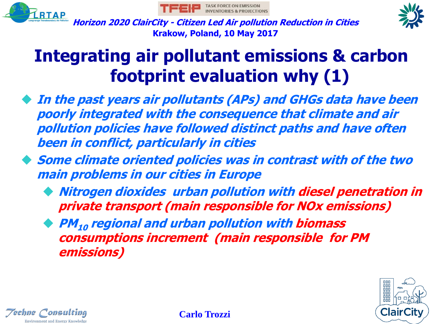





#### **Integrating air pollutant emissions & carbon footprint evaluation why (1)**

- **In the past years air pollutants (APs) and GHGs data have been poorly integrated with the consequence that climate and air pollution policies have followed distinct paths and have often been in conflict, particularly in cities**
- **Some climate oriented policies was in contrast with of the two main problems in our cities in Europe**
	- **Nitrogen dioxides urban pollution with diesel penetration in private transport (main responsible for NOx emissions)**
	- ◆ **PM<sup>10</sup> regional and urban pollution with biomass consumptions increment (main responsible for PM emissions)**



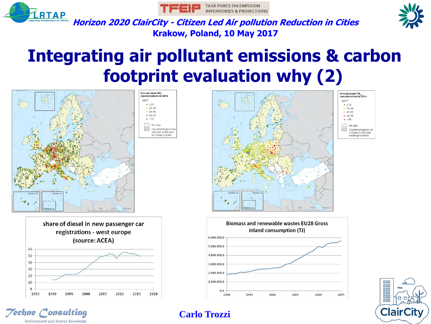





 $\bullet$  ≤ 10

 $-10-20$ 

 $-20-25$ 

 $• 25 - 30$ 

 $\bullet > 30$ 

No data

Countries/regions not

ncluded in the data

exchange process

**Horizon 2020 ClairCity - Citizen Led Air pollution Reduction in Cities Krakow, Poland, 10 May 2017**

#### **Integrating air pollutant emissions & carbon footprint evaluation why (2)**





*Techne* Consulting

**Environment and Energy Knowledge** 





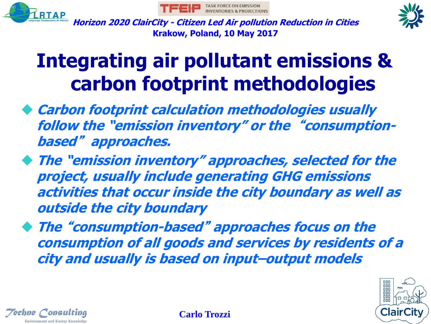





#### **Integrating air pollutant emissions & carbon footprint methodologies**

- ◆ **Carbon footprint calculation methodologies usually follow the "emission inventory" or the** "**consumptionbased**" **approaches.**
- ◆ **The "emission inventory" approaches, selected for the project, usually include generating GHG emissions activities that occur inside the city boundary as well as outside the city boundary**
- ◆ **The** "**consumption-based**" **approaches focus on the consumption of all goods and services by residents of a city and usually is based on input–output models**



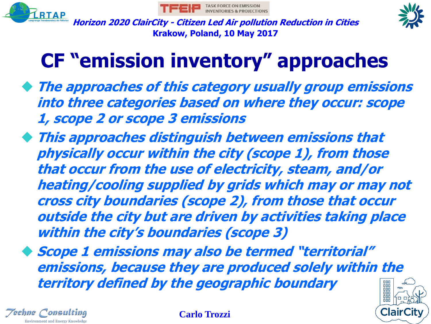





## **CF "emission inventory" approaches**

- ◆ **The approaches of this category usually group emissions into three categories based on where they occur: scope 1, scope 2 or scope 3 emissions**
- ◆ **This approaches distinguish between emissions that physically occur within the city (scope 1), from those that occur from the use of electricity, steam, and/or heating/cooling supplied by grids which may or may not cross city boundaries (scope 2), from those that occur outside the city but are driven by activities taking place within the city's boundaries (scope 3)**

◆ **Scope 1 emissions may also be termed "territorial" emissions, because they are produced solely within the territory defined by the geographic boundary**뼒



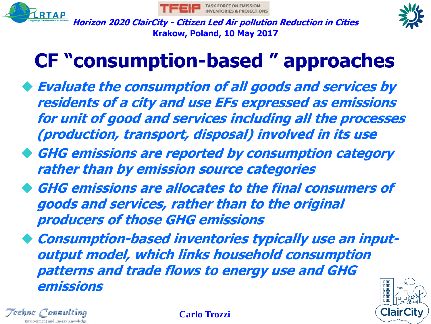





#### **CF "consumption-based " approaches**

- ◆ **Evaluate the consumption of all goods and services by residents of a city and use EFs expressed as emissions for unit of good and services including all the processes (production, transport, disposal) involved in its use**
- ◆ **GHG emissions are reported by consumption category rather than by emission source categories**
- ◆ **GHG emissions are allocates to the final consumers of goods and services, rather than to the original producers of those GHG emissions**
- ◆ **Consumption-based inventories typically use an inputoutput model, which links household consumption patterns and trade flows to energy use and GHG emissions**000



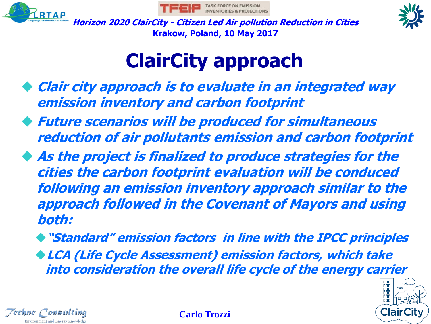





#### **ClairCity approach**

- ◆ **Clair city approach is to evaluate in an integrated way emission inventory and carbon footprint**
- ◆ **Future scenarios will be produced for simultaneous reduction of air pollutants emission and carbon footprint**
- ◆ **As the project is finalized to produce strategies for the cities the carbon footprint evaluation will be conduced following an emission inventory approach similar to the approach followed in the Covenant of Mayors and using both:**

◆**"Standard" emission factors in line with the IPCC principles** ◆**LCA (Life Cycle Assessment) emission factors, which take into consideration the overall life cycle of the energy carrier**



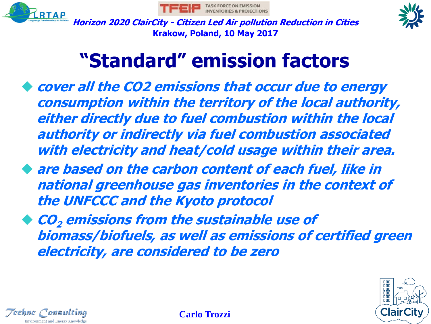





#### **"Standard" emission factors**

- ◆ **cover all the CO2 emissions that occur due to energy consumption within the territory of the local authority, either directly due to fuel combustion within the local authority or indirectly via fuel combustion associated with electricity and heat/cold usage within their area.**
- ◆ **are based on the carbon content of each fuel, like in national greenhouse gas inventories in the context of the UNFCCC and the Kyoto protocol**
- ◆ **CO<sup>2</sup> emissions from the sustainable use of biomass/biofuels, as well as emissions of certified green electricity, are considered to be zero**



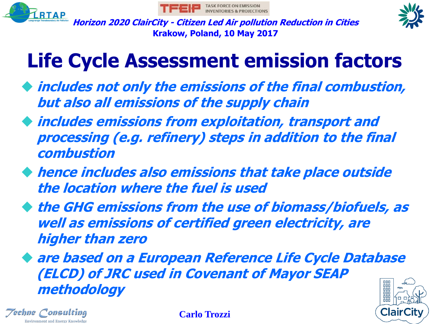





#### **Life Cycle Assessment emission factors**

- ◆ **includes not only the emissions of the final combustion, but also all emissions of the supply chain**
- ◆ **includes emissions from exploitation, transport and processing (e.g. refinery) steps in addition to the final combustion**
- ◆ **hence includes also emissions that take place outside the location where the fuel is used**
- ◆ **the GHG emissions from the use of biomass/biofuels, as well as emissions of certified green electricity, are higher than zero**

◆ are based on a European Reference Life Cycle Database **(ELCD) of JRC used in Covenant of Mayor SEAP**  000 **methodology**000



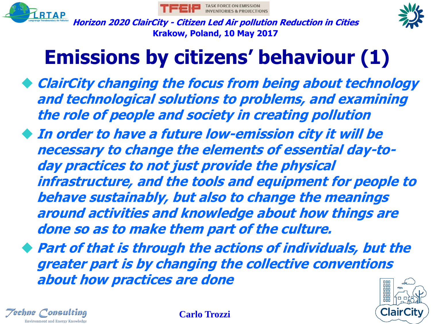





## **Emissions by citizens' behaviour (1)**

- ◆ **ClairCity changing the focus from being about technology and technological solutions to problems, and examining the role of people and society in creating pollution**
- **In order to have a future low-emission city it will be necessary to change the elements of essential day-today practices to not just provide the physical infrastructure, and the tools and equipment for people to behave sustainably, but also to change the meanings around activities and knowledge about how things are done so as to make them part of the culture.**

◆ **Part of that is through the actions of individuals, but the greater part is by changing the collective conventions about how practices are done**ōōō



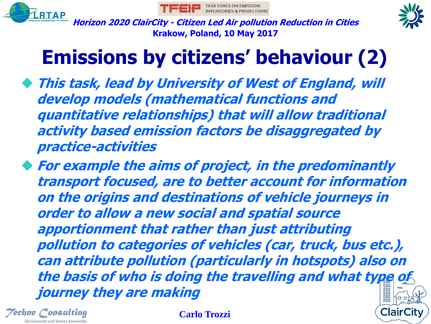





## **Emissions by citizens' behaviour (2)**

◆ **This task, lead by University of West of England, will develop models (mathematical functions and quantitative relationships) that will allow traditional activity based emission factors be disaggregated by practice-activities**

◆ **For example the aims of project, in the predominantly transport focused, are to better account for information on the origins and destinations of vehicle journeys in order to allow a new social and spatial source apportionment that rather than just attributing pollution to categories of vehicles (car, truck, bus etc.), can attribute pollution (particularly in hotspots) also on the basis of who is doing the travelling and what type of journey they are making**

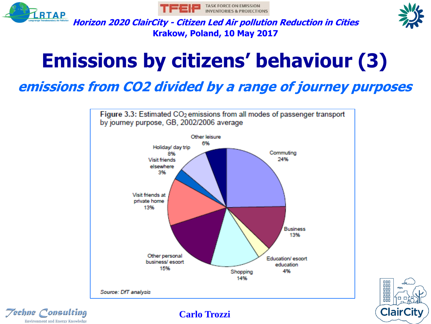

Environment and Energy Knowledge





**Horizon 2020 ClairCity - Citizen Led Air pollution Reduction in Cities Krakow, Poland, 10 May 2017**

## **Emissions by citizens' behaviour (3)**

#### **emissions from CO2 divided by a range of journey purposes**



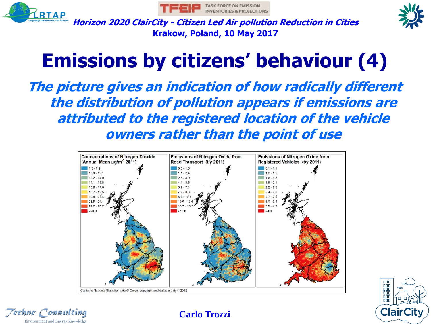





## **Emissions by citizens' behaviour (4)**

**The picture gives an indication of how radically different the distribution of pollution appears if emissions are attributed to the registered location of the vehicle owners rather than the point of use**





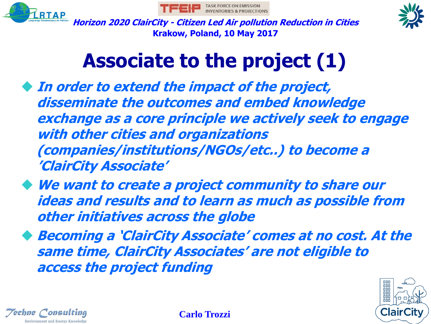





#### **Associate to the project (1)**

- ◆ **In order to extend the impact of the project, disseminate the outcomes and embed knowledge exchange as a core principle we actively seek to engage with other cities and organizations (companies/institutions/NGOs/etc..) to become a 'ClairCity Associate'**
- ◆ **We want to create a project community to share our ideas and results and to learn as much as possible from other initiatives across the globe**
- ◆ **Becoming a 'ClairCity Associate' comes at no cost. At the same time, ClairCity Associates' are not eligible to access the project funding**